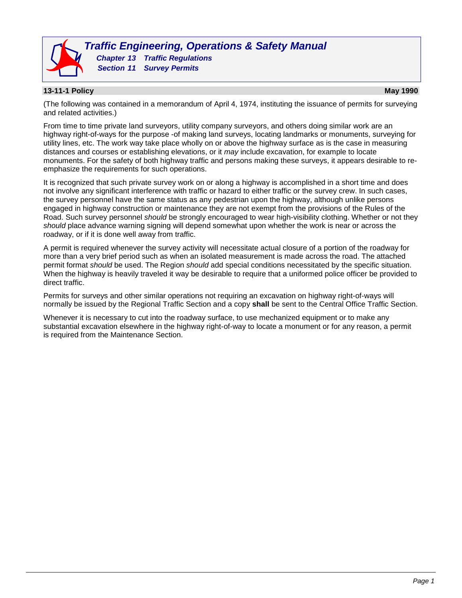

*Traffic Engineering, Operations & Safety Manual Chapter 13 Traffic Regulations Section 11 Survey Permits*

## **13-11-1 Policy May 1990**

(The following was contained in a memorandum of April 4, 1974, instituting the issuance of permits for surveying and related activities.)

From time to time private land surveyors, utility company surveyors, and others doing similar work are an highway right-of-ways for the purpose -of making land surveys, locating landmarks or monuments, surveying for utility lines, etc. The work way take place wholly on or above the highway surface as is the case in measuring distances and courses or establishing elevations, or it *may* include excavation, for example to locate monuments. For the safety of both highway traffic and persons making these surveys, it appears desirable to reemphasize the requirements for such operations.

It is recognized that such private survey work on or along a highway is accomplished in a short time and does not involve any significant interference with traffic or hazard to either traffic or the survey crew. In such cases, the survey personnel have the same status as any pedestrian upon the highway, although unlike persons engaged in highway construction or maintenance they are not exempt from the provisions of the Rules of the Road. Such survey personnel *should* be strongly encouraged to wear high-visibility clothing. Whether or not they *should* place advance warning signing will depend somewhat upon whether the work is near or across the roadway, or if it is done well away from traffic.

A permit is required whenever the survey activity will necessitate actual closure of a portion of the roadway for more than a very brief period such as when an isolated measurement is made across the road. The attached permit format *should* be used. The Region *should* add special conditions necessitated by the specific situation. When the highway is heavily traveled it way be desirable to require that a uniformed police officer be provided to direct traffic.

Permits for surveys and other similar operations not requiring an excavation on highway right-of-ways will normally be issued by the Regional Traffic Section and a copy **shall** be sent to the Central Office Traffic Section.

Whenever it is necessary to cut into the roadway surface, to use mechanized equipment or to make any substantial excavation elsewhere in the highway right-of-way to locate a monument or for any reason, a permit is required from the Maintenance Section.